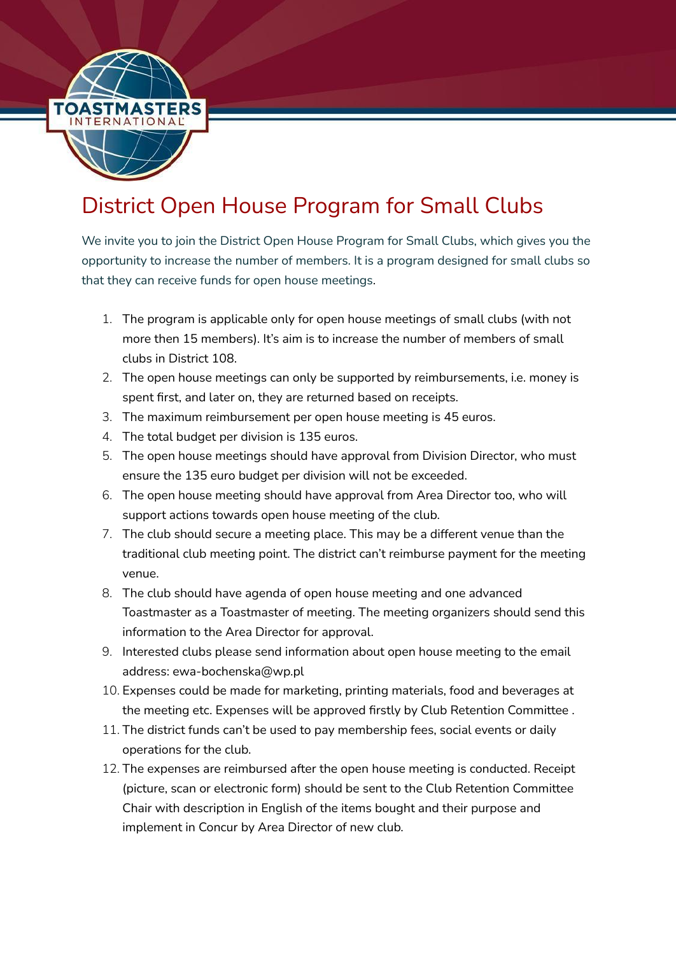

## District Open House Program for Small Clubs

We invite you to join the District Open House Program for Small Clubs, which gives you the opportunity to increase the number of members. It is a program designed for small clubs so that they can receive funds for open house meetings.

- 1. The program is applicable only for open house meetings of small clubs (with not more then 15 members). It's aim is to increase the number of members of small clubs in District 108.
- 2. The open house meetings can only be supported by reimbursements, i.e. money is spent first, and later on, they are returned based on receipts.
- 3. The maximum reimbursement per open house meeting is 45 euros.
- 4. The total budget per division is 135 euros.
- 5. The open house meetings should have approval from Division Director, who must ensure the 135 euro budget per division will not be exceeded.
- 6. The open house meeting should have approval from Area Director too, who will support actions towards open house meeting of the club.
- 7. The club should secure a meeting place. This may be a different venue than the traditional club meeting point. The district can't reimburse payment for the meeting venue.
- 8. The club should have agenda of open house meeting and one advanced Toastmaster as a Toastmaster of meeting. The meeting organizers should send this information to the Area Director for approval.
- 9. Interested clubs please send information about open house meeting to the email address: ewa-bochenska@wp.pl
- 10. Expenses could be made for marketing, printing materials, food and beverages at the meeting etc. Expenses will be approved firstly by Club Retention Committee .
- 11. The district funds can't be used to pay membership fees, social events or daily operations for the club.
- 12. The expenses are reimbursed after the open house meeting is conducted. Receipt (picture, scan or electronic form) should be sent to the Club Retention Committee Chair with description in English of the items bought and their purpose and implement in Concur by Area Director of new club.